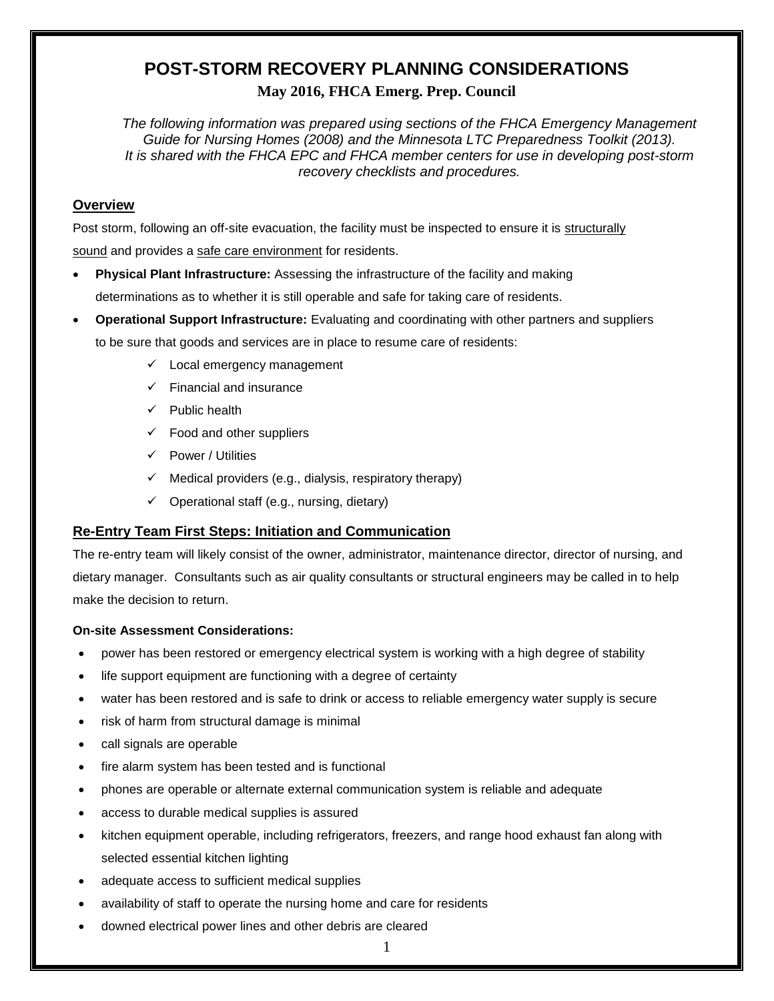### **POST-STORM RECOVERY PLANNING CONSIDERATIONS May 2016, FHCA Emerg. Prep. Council**

*The following information was prepared using sections of the FHCA Emergency Management Guide for Nursing Homes (2008) and the Minnesota LTC Preparedness Toolkit (2013). It is shared with the FHCA EPC and FHCA member centers for use in developing post-storm recovery checklists and procedures.* 

#### **Overview**

Post storm, following an off-site evacuation, the facility must be inspected to ensure it is structurally sound and provides a safe care environment for residents.

- **Physical Plant Infrastructure:** Assessing the infrastructure of the facility and making determinations as to whether it is still operable and safe for taking care of residents.
- **Operational Support Infrastructure:** Evaluating and coordinating with other partners and suppliers to be sure that goods and services are in place to resume care of residents:
	- $\checkmark$  Local emergency management
	- $\checkmark$  Financial and insurance
	- $\checkmark$  Public health
	- $\checkmark$  Food and other suppliers
	- $\checkmark$  Power / Utilities
	- $\checkmark$  Medical providers (e.g., dialysis, respiratory therapy)
	- $\checkmark$  Operational staff (e.g., nursing, dietary)

#### **Re-Entry Team First Steps: Initiation and Communication**

The re-entry team will likely consist of the owner, administrator, maintenance director, director of nursing, and dietary manager. Consultants such as air quality consultants or structural engineers may be called in to help make the decision to return.

#### **On-site Assessment Considerations:**

- power has been restored or emergency electrical system is working with a high degree of stability
- life support equipment are functioning with a degree of certainty
- water has been restored and is safe to drink or access to reliable emergency water supply is secure
- risk of harm from structural damage is minimal
- call signals are operable
- fire alarm system has been tested and is functional
- phones are operable or alternate external communication system is reliable and adequate
- access to durable medical supplies is assured
- kitchen equipment operable, including refrigerators, freezers, and range hood exhaust fan along with selected essential kitchen lighting
- adequate access to sufficient medical supplies
- availability of staff to operate the nursing home and care for residents
- downed electrical power lines and other debris are cleared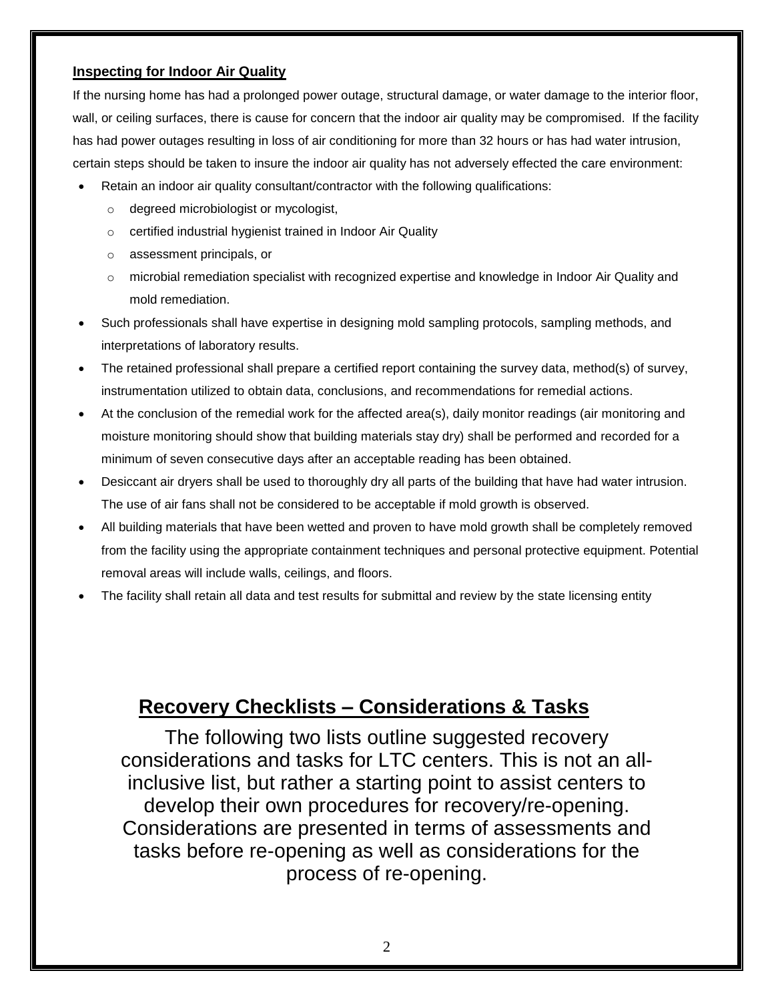#### **Inspecting for Indoor Air Quality**

If the nursing home has had a prolonged power outage, structural damage, or water damage to the interior floor, wall, or ceiling surfaces, there is cause for concern that the indoor air quality may be compromised. If the facility has had power outages resulting in loss of air conditioning for more than 32 hours or has had water intrusion, certain steps should be taken to insure the indoor air quality has not adversely effected the care environment:

- Retain an indoor air quality consultant/contractor with the following qualifications:
	- o degreed microbiologist or mycologist,
	- o certified industrial hygienist trained in Indoor Air Quality
	- o assessment principals, or
	- o microbial remediation specialist with recognized expertise and knowledge in Indoor Air Quality and mold remediation.
- Such professionals shall have expertise in designing mold sampling protocols, sampling methods, and interpretations of laboratory results.
- The retained professional shall prepare a certified report containing the survey data, method(s) of survey, instrumentation utilized to obtain data, conclusions, and recommendations for remedial actions.
- At the conclusion of the remedial work for the affected area(s), daily monitor readings (air monitoring and moisture monitoring should show that building materials stay dry) shall be performed and recorded for a minimum of seven consecutive days after an acceptable reading has been obtained.
- Desiccant air dryers shall be used to thoroughly dry all parts of the building that have had water intrusion. The use of air fans shall not be considered to be acceptable if mold growth is observed.
- All building materials that have been wetted and proven to have mold growth shall be completely removed from the facility using the appropriate containment techniques and personal protective equipment. Potential removal areas will include walls, ceilings, and floors.
- The facility shall retain all data and test results for submittal and review by the state licensing entity

### **Recovery Checklists – Considerations & Tasks**

The following two lists outline suggested recovery considerations and tasks for LTC centers. This is not an allinclusive list, but rather a starting point to assist centers to develop their own procedures for recovery/re-opening. Considerations are presented in terms of assessments and tasks before re-opening as well as considerations for the process of re-opening.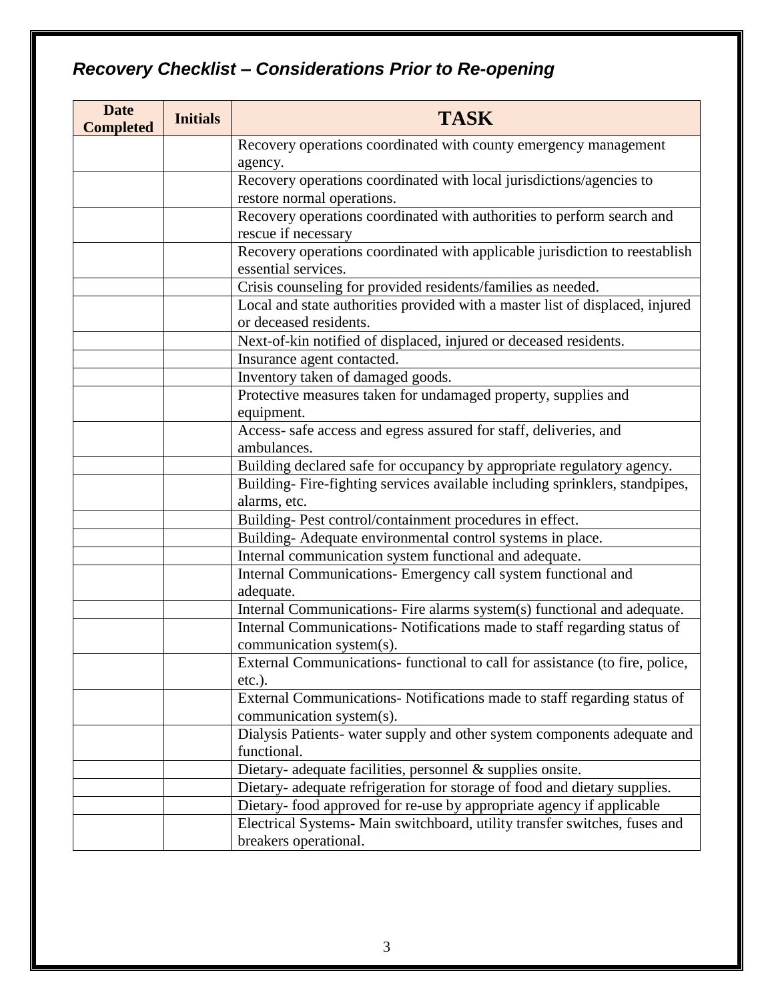# *Recovery Checklist – Considerations Prior to Re-opening*

| <b>Date</b><br><b>Completed</b> | <b>Initials</b> | <b>TASK</b>                                                                   |
|---------------------------------|-----------------|-------------------------------------------------------------------------------|
|                                 |                 | Recovery operations coordinated with county emergency management              |
|                                 |                 | agency.                                                                       |
|                                 |                 | Recovery operations coordinated with local jurisdictions/agencies to          |
|                                 |                 | restore normal operations.                                                    |
|                                 |                 | Recovery operations coordinated with authorities to perform search and        |
|                                 |                 | rescue if necessary                                                           |
|                                 |                 | Recovery operations coordinated with applicable jurisdiction to reestablish   |
|                                 |                 | essential services.                                                           |
|                                 |                 | Crisis counseling for provided residents/families as needed.                  |
|                                 |                 | Local and state authorities provided with a master list of displaced, injured |
|                                 |                 | or deceased residents.                                                        |
|                                 |                 | Next-of-kin notified of displaced, injured or deceased residents.             |
|                                 |                 | Insurance agent contacted.                                                    |
|                                 |                 | Inventory taken of damaged goods.                                             |
|                                 |                 | Protective measures taken for undamaged property, supplies and                |
|                                 |                 | equipment.                                                                    |
|                                 |                 | Access- safe access and egress assured for staff, deliveries, and             |
|                                 |                 | ambulances.                                                                   |
|                                 |                 | Building declared safe for occupancy by appropriate regulatory agency.        |
|                                 |                 | Building-Fire-fighting services available including sprinklers, standpipes,   |
|                                 |                 | alarms, etc.                                                                  |
|                                 |                 | Building-Pest control/containment procedures in effect.                       |
|                                 |                 | Building-Adequate environmental control systems in place.                     |
|                                 |                 | Internal communication system functional and adequate.                        |
|                                 |                 | Internal Communications- Emergency call system functional and                 |
|                                 |                 | adequate.                                                                     |
|                                 |                 | Internal Communications- Fire alarms system(s) functional and adequate.       |
|                                 |                 | Internal Communications- Notifications made to staff regarding status of      |
|                                 |                 | communication system(s).                                                      |
|                                 |                 | External Communications- functional to call for assistance (to fire, police,  |
|                                 |                 | $etc.$ ).                                                                     |
|                                 |                 | External Communications- Notifications made to staff regarding status of      |
|                                 |                 | communication system(s).                                                      |
|                                 |                 | Dialysis Patients- water supply and other system components adequate and      |
|                                 |                 | functional.                                                                   |
|                                 |                 | Dietary- adequate facilities, personnel $&$ supplies onsite.                  |
|                                 |                 | Dietary- adequate refrigeration for storage of food and dietary supplies.     |
|                                 |                 | Dietary- food approved for re-use by appropriate agency if applicable         |
|                                 |                 | Electrical Systems- Main switchboard, utility transfer switches, fuses and    |
|                                 |                 | breakers operational.                                                         |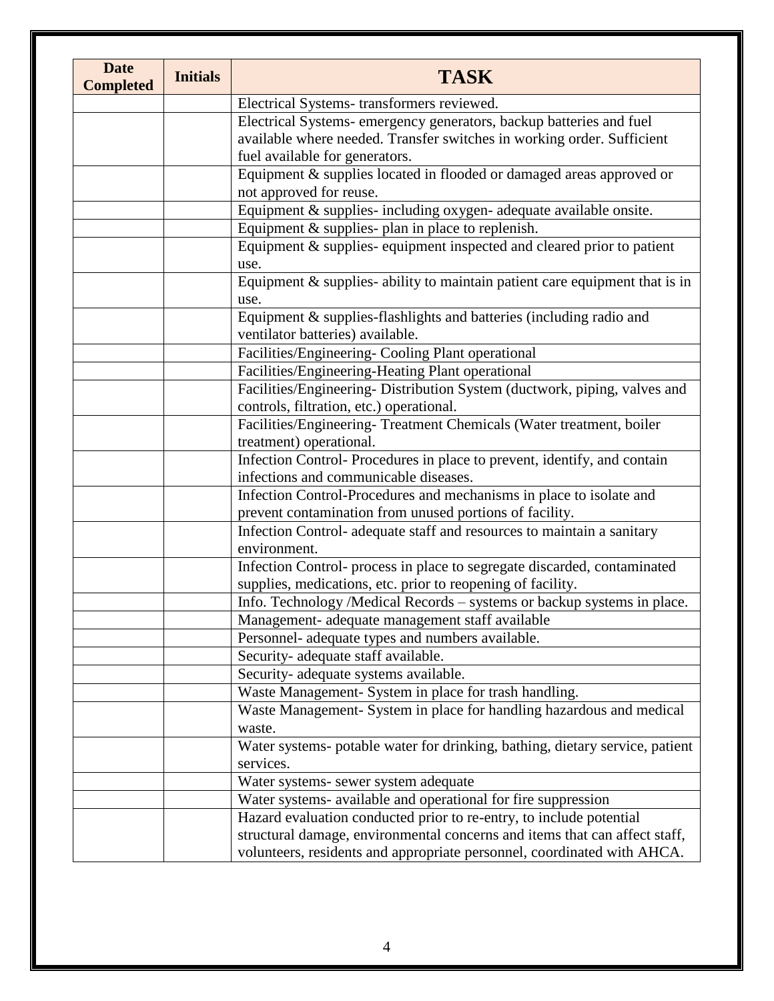| <b>Date</b><br><b>Completed</b> | <b>Initials</b> | <b>TASK</b>                                                                                                                                           |
|---------------------------------|-----------------|-------------------------------------------------------------------------------------------------------------------------------------------------------|
|                                 |                 | Electrical Systems- transformers reviewed.                                                                                                            |
|                                 |                 | Electrical Systems- emergency generators, backup batteries and fuel                                                                                   |
|                                 |                 | available where needed. Transfer switches in working order. Sufficient                                                                                |
|                                 |                 | fuel available for generators.                                                                                                                        |
|                                 |                 | Equipment & supplies located in flooded or damaged areas approved or                                                                                  |
|                                 |                 | not approved for reuse.                                                                                                                               |
|                                 |                 | Equipment & supplies- including oxygen- adequate available onsite.                                                                                    |
|                                 |                 | Equipment $&$ supplies-plan in place to replenish.                                                                                                    |
|                                 |                 | Equipment & supplies-equipment inspected and cleared prior to patient                                                                                 |
|                                 |                 | use.                                                                                                                                                  |
|                                 |                 | Equipment $\&$ supplies- ability to maintain patient care equipment that is in<br>use.                                                                |
|                                 |                 | Equipment & supplies-flashlights and batteries (including radio and<br>ventilator batteries) available.                                               |
|                                 |                 | Facilities/Engineering-Cooling Plant operational                                                                                                      |
|                                 |                 | Facilities/Engineering-Heating Plant operational                                                                                                      |
|                                 |                 | Facilities/Engineering- Distribution System (ductwork, piping, valves and                                                                             |
|                                 |                 | controls, filtration, etc.) operational.                                                                                                              |
|                                 |                 | Facilities/Engineering- Treatment Chemicals (Water treatment, boiler<br>treatment) operational.                                                       |
|                                 |                 | Infection Control-Procedures in place to prevent, identify, and contain<br>infections and communicable diseases.                                      |
|                                 |                 | Infection Control-Procedures and mechanisms in place to isolate and<br>prevent contamination from unused portions of facility.                        |
|                                 |                 | Infection Control- adequate staff and resources to maintain a sanitary<br>environment.                                                                |
|                                 |                 | Infection Control- process in place to segregate discarded, contaminated<br>supplies, medications, etc. prior to reopening of facility.               |
|                                 |                 | Info. Technology /Medical Records – systems or backup systems in place.                                                                               |
|                                 |                 | Management- adequate management staff available                                                                                                       |
|                                 |                 | Personnel- adequate types and numbers available.                                                                                                      |
|                                 |                 | Security- adequate staff available.                                                                                                                   |
|                                 |                 | Security- adequate systems available.                                                                                                                 |
|                                 |                 | Waste Management- System in place for trash handling.                                                                                                 |
|                                 |                 | Waste Management- System in place for handling hazardous and medical                                                                                  |
|                                 |                 | waste.                                                                                                                                                |
|                                 |                 | Water systems- potable water for drinking, bathing, dietary service, patient<br>services.                                                             |
|                                 |                 | Water systems- sewer system adequate                                                                                                                  |
|                                 |                 | Water systems- available and operational for fire suppression                                                                                         |
|                                 |                 | Hazard evaluation conducted prior to re-entry, to include potential                                                                                   |
|                                 |                 | structural damage, environmental concerns and items that can affect staff,<br>volunteers, residents and appropriate personnel, coordinated with AHCA. |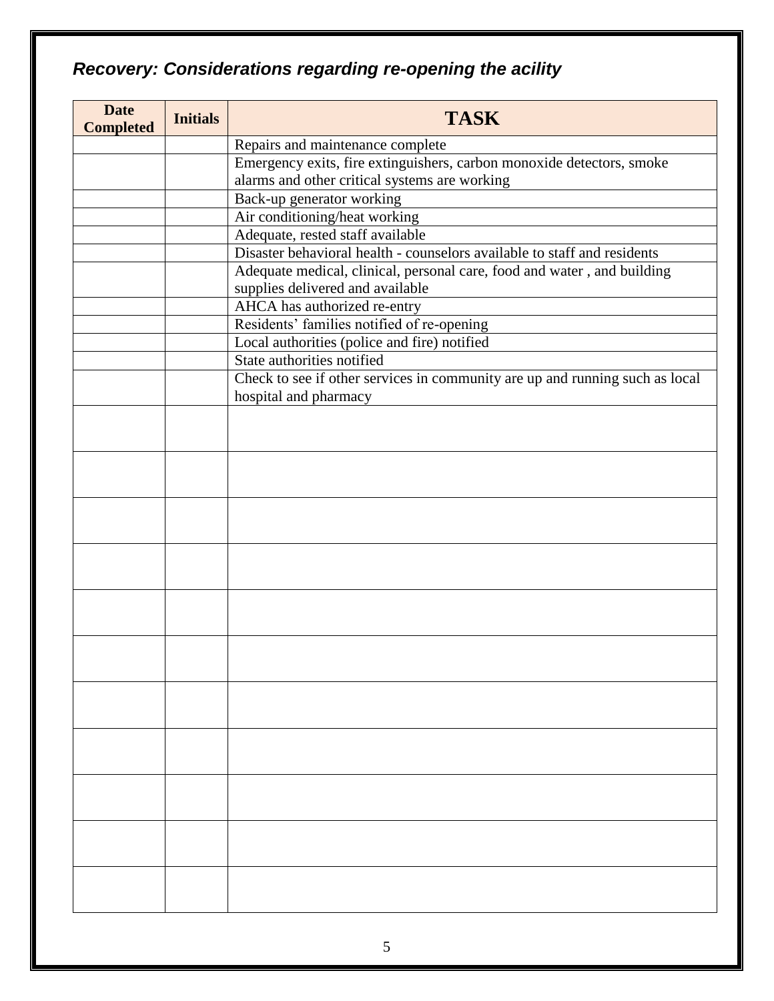# *Recovery: Considerations regarding re-opening the acility*

| <b>Date</b><br><b>Completed</b> | <b>Initials</b> | <b>TASK</b>                                                                  |
|---------------------------------|-----------------|------------------------------------------------------------------------------|
|                                 |                 | Repairs and maintenance complete                                             |
|                                 |                 | Emergency exits, fire extinguishers, carbon monoxide detectors, smoke        |
|                                 |                 | alarms and other critical systems are working                                |
|                                 |                 | Back-up generator working                                                    |
|                                 |                 | Air conditioning/heat working                                                |
|                                 |                 | Adequate, rested staff available                                             |
|                                 |                 | Disaster behavioral health - counselors available to staff and residents     |
|                                 |                 | Adequate medical, clinical, personal care, food and water, and building      |
|                                 |                 | supplies delivered and available                                             |
|                                 |                 | AHCA has authorized re-entry                                                 |
|                                 |                 | Residents' families notified of re-opening                                   |
|                                 |                 | Local authorities (police and fire) notified<br>State authorities notified   |
|                                 |                 | Check to see if other services in community are up and running such as local |
|                                 |                 | hospital and pharmacy                                                        |
|                                 |                 |                                                                              |
|                                 |                 |                                                                              |
|                                 |                 |                                                                              |
|                                 |                 |                                                                              |
|                                 |                 |                                                                              |
|                                 |                 |                                                                              |
|                                 |                 |                                                                              |
|                                 |                 |                                                                              |
|                                 |                 |                                                                              |
|                                 |                 |                                                                              |
|                                 |                 |                                                                              |
|                                 |                 |                                                                              |
|                                 |                 |                                                                              |
|                                 |                 |                                                                              |
|                                 |                 |                                                                              |
|                                 |                 |                                                                              |
|                                 |                 |                                                                              |
|                                 |                 |                                                                              |
|                                 |                 |                                                                              |
|                                 |                 |                                                                              |
|                                 |                 |                                                                              |
|                                 |                 |                                                                              |
|                                 |                 |                                                                              |
|                                 |                 |                                                                              |
|                                 |                 |                                                                              |
|                                 |                 |                                                                              |
|                                 |                 |                                                                              |
|                                 |                 |                                                                              |